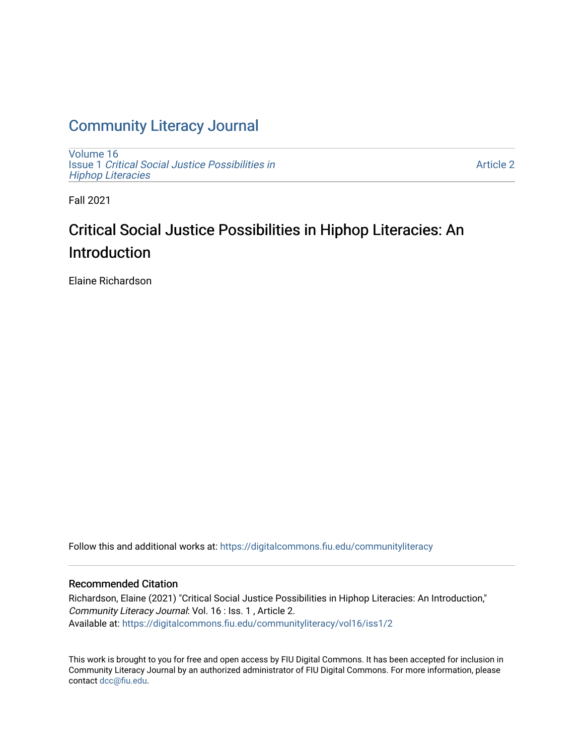### [Community Literacy Journal](https://digitalcommons.fiu.edu/communityliteracy)

[Volume 16](https://digitalcommons.fiu.edu/communityliteracy/vol16) Issue 1 [Critical Social Justice Possibilities in](https://digitalcommons.fiu.edu/communityliteracy/vol16/iss1) [Hiphop Literacies](https://digitalcommons.fiu.edu/communityliteracy/vol16/iss1)

[Article 2](https://digitalcommons.fiu.edu/communityliteracy/vol16/iss1/2) 

Fall 2021

# Critical Social Justice Possibilities in Hiphop Literacies: An Introduction

Elaine Richardson

Follow this and additional works at: [https://digitalcommons.fiu.edu/communityliteracy](https://digitalcommons.fiu.edu/communityliteracy?utm_source=digitalcommons.fiu.edu%2Fcommunityliteracy%2Fvol16%2Fiss1%2F2&utm_medium=PDF&utm_campaign=PDFCoverPages)

#### Recommended Citation

Richardson, Elaine (2021) "Critical Social Justice Possibilities in Hiphop Literacies: An Introduction," Community Literacy Journal: Vol. 16 : Iss. 1 , Article 2. Available at: [https://digitalcommons.fiu.edu/communityliteracy/vol16/iss1/2](https://digitalcommons.fiu.edu/communityliteracy/vol16/iss1/2?utm_source=digitalcommons.fiu.edu%2Fcommunityliteracy%2Fvol16%2Fiss1%2F2&utm_medium=PDF&utm_campaign=PDFCoverPages) 

This work is brought to you for free and open access by FIU Digital Commons. It has been accepted for inclusion in Community Literacy Journal by an authorized administrator of FIU Digital Commons. For more information, please contact [dcc@fiu.edu](mailto:dcc@fiu.edu).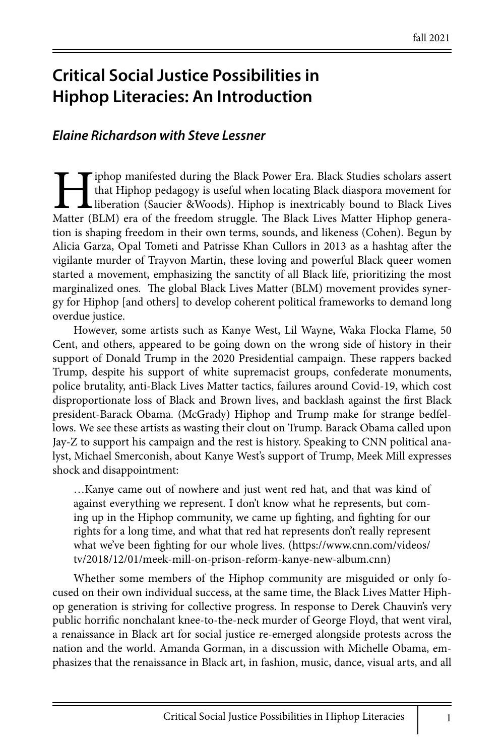## **Critical Social Justice Possibilities in Hiphop Literacies: An Introduction**

### *Elaine Richardson with Steve Lessner*

If phop manifested during the Black Power Era. Black Studies scholars assert that Hiphop pedagogy is useful when locating Black diaspora movement for liberation (Saucier &Woods). Hiphop is inextricably bound to Black Lives that Hiphop pedagogy is useful when locating Black diaspora movement for liberation (Saucier &Woods). Hiphop is inextricably bound to Black Lives Matter (BLM) era of the freedom struggle. The Black Lives Matter Hiphop generation is shaping freedom in their own terms, sounds, and likeness (Cohen). Begun by Alicia Garza, Opal Tometi and Patrisse Khan Cullors in 2013 as a hashtag after the vigilante murder of Trayvon Martin, these loving and powerful Black queer women started a movement, emphasizing the sanctity of all Black life, prioritizing the most marginalized ones. The global Black Lives Matter (BLM) movement provides synergy for Hiphop [and others] to develop coherent political frameworks to demand long overdue justice.

However, some artists such as Kanye West, Lil Wayne, Waka Flocka Flame, 50 Cent, and others, appeared to be going down on the wrong side of history in their support of Donald Trump in the 2020 Presidential campaign. These rappers backed Trump, despite his support of white supremacist groups, confederate monuments, police brutality, anti-Black Lives Matter tactics, failures around Covid-19, which cost disproportionate loss of Black and Brown lives, and backlash against the first Black president-Barack Obama. (McGrady) Hiphop and Trump make for strange bedfellows. We see these artists as wasting their clout on Trump. Barack Obama called upon Jay-Z to support his campaign and the rest is history. Speaking to CNN political analyst, Michael Smerconish, about Kanye West's support of Trump, Meek Mill expresses shock and disappointment:

…Kanye came out of nowhere and just went red hat, and that was kind of against everything we represent. I don't know what he represents, but coming up in the Hiphop community, we came up fighting, and fighting for our rights for a long time, and what that red hat represents don't really represent what we've been fighting for our whole lives. (https://www.cnn.com/videos/ tv/2018/12/01/meek-mill-on-prison-reform-kanye-new-album.cnn)

Whether some members of the Hiphop community are misguided or only focused on their own individual success, at the same time, the Black Lives Matter Hiphop generation is striving for collective progress. In response to Derek Chauvin's very public horrific nonchalant knee-to-the-neck murder of George Floyd, that went viral, a renaissance in Black art for social justice re-emerged alongside protests across the nation and the world. Amanda Gorman, in a discussion with Michelle Obama, emphasizes that the renaissance in Black art, in fashion, music, dance, visual arts, and all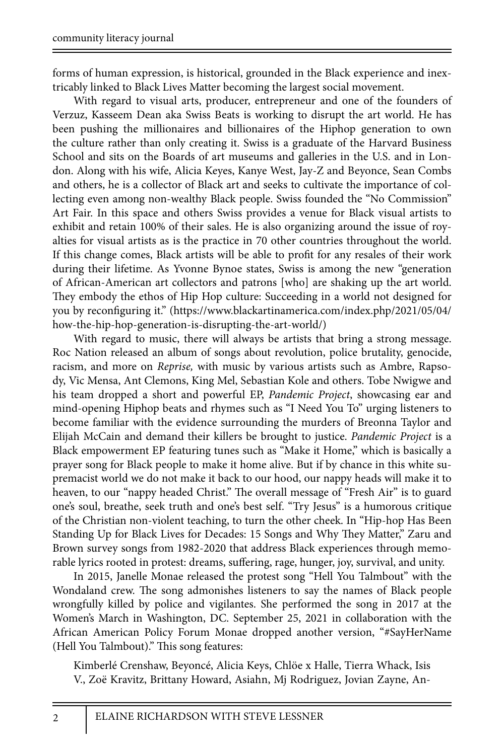forms of human expression, is historical, grounded in the Black experience and inextricably linked to Black Lives Matter becoming the largest social movement.

With regard to visual arts, producer, entrepreneur and one of the founders of Verzuz, Kasseem Dean aka Swiss Beats is working to disrupt the art world. He has been pushing the millionaires and billionaires of the Hiphop generation to own the culture rather than only creating it. Swiss is a graduate of the Harvard Business School and sits on the Boards of art museums and galleries in the U.S. and in London. Along with his wife, Alicia Keyes, Kanye West, Jay-Z and Beyonce, Sean Combs and others, he is a collector of Black art and seeks to cultivate the importance of collecting even among non-wealthy Black people. Swiss founded the "No Commission" Art Fair. In this space and others Swiss provides a venue for Black visual artists to exhibit and retain 100% of their sales. He is also organizing around the issue of royalties for visual artists as is the practice in 70 other countries throughout the world. If this change comes, Black artists will be able to profit for any resales of their work during their lifetime. As Yvonne Bynoe states, Swiss is among the new "generation of African-American art collectors and patrons [who] are shaking up the art world. They embody the ethos of Hip Hop culture: Succeeding in a world not designed for you by reconfiguring it." (https://www.blackartinamerica.com/index.php/2021/05/04/ how-the-hip-hop-generation-is-disrupting-the-art-world/)

With regard to music, there will always be artists that bring a strong message. Roc Nation released an album of songs about revolution, police brutality, genocide, racism, and more on *Reprise,* with music by various artists such as Ambre, Rapsody, Vic Mensa, Ant Clemons, King Mel, Sebastian Kole and others. Tobe Nwigwe and his team dropped a short and powerful EP, *Pandemic Project*, showcasing ear and mind-opening Hiphop beats and rhymes such as "I Need You To" urging listeners to become familiar with the evidence surrounding the murders of Breonna Taylor and Elijah McCain and demand their killers be brought to justice. *Pandemic Project* is a Black empowerment EP featuring tunes such as "Make it Home," which is basically a prayer song for Black people to make it home alive. But if by chance in this white supremacist world we do not make it back to our hood, our nappy heads will make it to heaven, to our "nappy headed Christ." The overall message of "Fresh Air" is to guard one's soul, breathe, seek truth and one's best self. "Try Jesus" is a humorous critique of the Christian non-violent teaching, to turn the other cheek. In "Hip-hop Has Been Standing Up for Black Lives for Decades: 15 Songs and Why They Matter," Zaru and Brown survey songs from 1982-2020 that address Black experiences through memorable lyrics rooted in protest: dreams, suffering, rage, hunger, joy, survival, and unity.

In 2015, Janelle Monae released the protest song "Hell You Talmbout" with the Wondaland crew. The song admonishes listeners to say the names of Black people wrongfully killed by police and vigilantes. She performed the song in 2017 at the Women's March in Washington, DC. September 25, 2021 in collaboration with the African American Policy Forum Monae dropped another version, "#SayHerName (Hell You Talmbout)." This song features:

Kimberlé Crenshaw, Beyoncé, Alicia Keys, Chlöe x Halle, Tierra Whack, Isis V., Zoë Kravitz, Brittany Howard, Asiahn, Mj Rodriguez, Jovian Zayne, An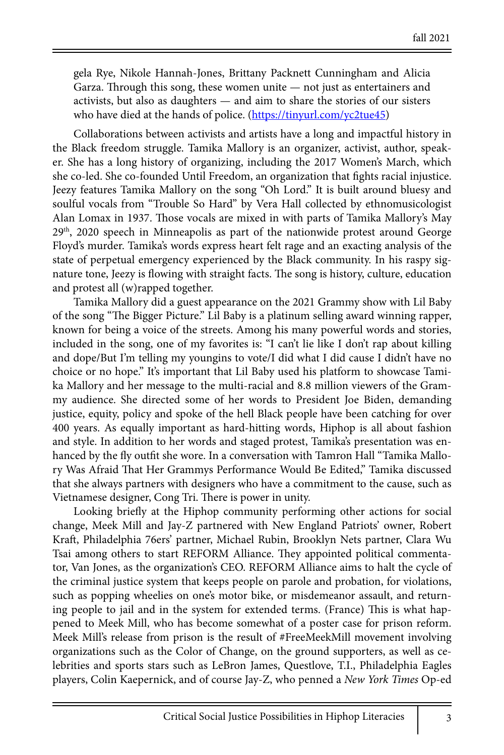gela Rye, Nikole Hannah-Jones, Brittany Packnett Cunningham and Alicia Garza. Through this song, these women unite — not just as entertainers and activists, but also as daughters — and aim to share the stories of our sisters who have died at the hands of police. (<https://tinyurl.com/yc2tue45>)

Collaborations between activists and artists have a long and impactful history in the Black freedom struggle. Tamika Mallory is an organizer, activist, author, speaker. She has a long history of organizing, including the 2017 Women's March, which she co-led. She co-founded Until Freedom, an organization that fights racial injustice. Jeezy features Tamika Mallory on the song "Oh Lord." It is built around bluesy and soulful vocals from "Trouble So Hard" by Vera Hall collected by ethnomusicologist Alan Lomax in 1937. Those vocals are mixed in with parts of Tamika Mallory's May 29th, 2020 speech in Minneapolis as part of the nationwide protest around George Floyd's murder. Tamika's words express heart felt rage and an exacting analysis of the state of perpetual emergency experienced by the Black community. In his raspy signature tone, Jeezy is flowing with straight facts. The song is history, culture, education and protest all (w)rapped together.

Tamika Mallory did a guest appearance on the 2021 Grammy show with Lil Baby of the song "The Bigger Picture." Lil Baby is a platinum selling award winning rapper, known for being a voice of the streets. Among his many powerful words and stories, included in the song, one of my favorites is: "I can't lie like I don't rap about killing and dope/But I'm telling my youngins to vote/I did what I did cause I didn't have no choice or no hope." It's important that Lil Baby used his platform to showcase Tamika Mallory and her message to the multi-racial and 8.8 million viewers of the Grammy audience. She directed some of her words to President Joe Biden, demanding justice, equity, policy and spoke of the hell Black people have been catching for over 400 years. As equally important as hard-hitting words, Hiphop is all about fashion and style. In addition to her words and staged protest, Tamika's presentation was enhanced by the fly outfit she wore. In a conversation with Tamron Hall "Tamika Mallory Was Afraid That Her Grammys Performance Would Be Edited," Tamika discussed that she always partners with designers who have a commitment to the cause, such as Vietnamese designer, Cong Tri. There is power in unity.

Looking briefly at the Hiphop community performing other actions for social change, Meek Mill and Jay-Z partnered with New England Patriots' owner, Robert Kraft, Philadelphia 76ers' partner, Michael Rubin, Brooklyn Nets partner, Clara Wu Tsai among others to start REFORM Alliance. They appointed political commentator, Van Jones, as the organization's CEO. REFORM Alliance aims to halt the cycle of the criminal justice system that keeps people on parole and probation, for violations, such as popping wheelies on one's motor bike, or misdemeanor assault, and returning people to jail and in the system for extended terms. (France) This is what happened to Meek Mill, who has become somewhat of a poster case for prison reform. Meek Mill's release from prison is the result of #FreeMeekMill movement involving organizations such as the Color of Change, on the ground supporters, as well as celebrities and sports stars such as LeBron James, Questlove, T.I., Philadelphia Eagles players, Colin Kaepernick, and of course Jay-Z, who penned a *New York Times* Op-ed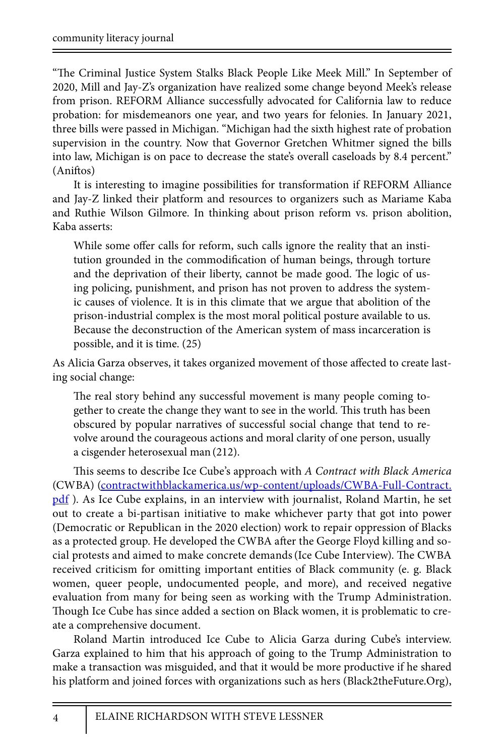"The Criminal Justice System Stalks Black People Like Meek Mill." In September of 2020, Mill and Jay-Z's organization have realized some change beyond Meek's release from prison. REFORM Alliance successfully advocated for California law to reduce probation: for misdemeanors one year, and two years for felonies. In January 2021, three bills were passed in Michigan. "Michigan had the sixth highest rate of probation supervision in the country. Now that Governor Gretchen Whitmer signed the bills into law, Michigan is on pace to decrease the state's overall caseloads by 8.4 percent." (Aniftos)

It is interesting to imagine possibilities for transformation if REFORM Alliance and Jay-Z linked their platform and resources to organizers such as Mariame Kaba and Ruthie Wilson Gilmore. In thinking about prison reform vs. prison abolition, Kaba asserts:

While some offer calls for reform, such calls ignore the reality that an institution grounded in the commodification of human beings, through torture and the deprivation of their liberty, cannot be made good. The logic of using policing, punishment, and prison has not proven to address the systemic causes of violence. It is in this climate that we argue that abolition of the prison-industrial complex is the most moral political posture available to us. Because the deconstruction of the American system of mass incarceration is possible, and it is time. (25)

As Alicia Garza observes, it takes organized movement of those affected to create lasting social change:

The real story behind any successful movement is many people coming together to create the change they want to see in the world. This truth has been obscured by popular narratives of successful social change that tend to revolve around the courageous actions and moral clarity of one person, usually a cisgender heterosexual man(212).

This seems to describe Ice Cube's approach with *A Contract with Black America* (CWBA) [\(contractwithblackamerica.us/wp-content/uploads/CWBA-Full-Contract.](file:///C:\Users\richardson.486\Documents\Hip%20Hop%20Conference\2021%20Hiphop%20Literacies%20Special%20Issue\From%20Qiana%20All_THREE_in_one_email\contractwithblackamerica.us\wp-content\uploads\CWBA-Full-Contract.pdf) [pdf](file:///C:\Users\richardson.486\Documents\Hip%20Hop%20Conference\2021%20Hiphop%20Literacies%20Special%20Issue\From%20Qiana%20All_THREE_in_one_email\contractwithblackamerica.us\wp-content\uploads\CWBA-Full-Contract.pdf) ). As Ice Cube explains, in an interview with journalist, Roland Martin, he set out to create a bi-partisan initiative to make whichever party that got into power (Democratic or Republican in the 2020 election) work to repair oppression of Blacks as a protected group. He developed the CWBA after the George Floyd killing and social protests and aimed to make concrete demands(Ice Cube Interview). The CWBA received criticism for omitting important entities of Black community (e. g. Black women, queer people, undocumented people, and more), and received negative evaluation from many for being seen as working with the Trump Administration. Though Ice Cube has since added a section on Black women, it is problematic to create a comprehensive document.

Roland Martin introduced Ice Cube to Alicia Garza during Cube's interview. Garza explained to him that his approach of going to the Trump Administration to make a transaction was misguided, and that it would be more productive if he shared his platform and joined forces with organizations such as hers (Black2theFuture.Org),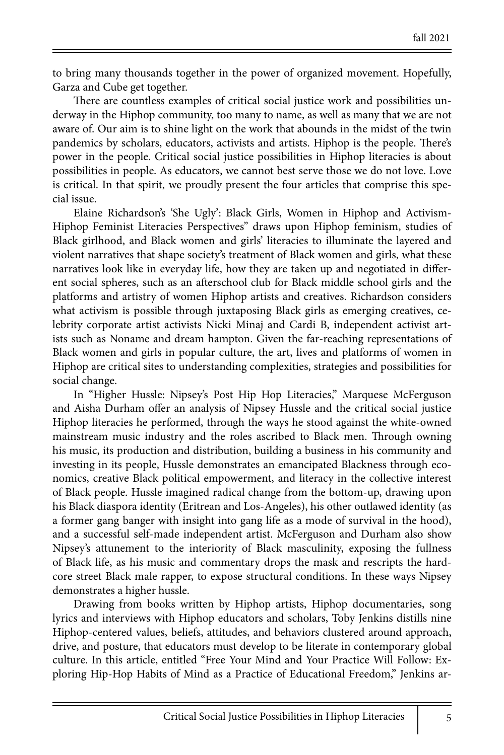to bring many thousands together in the power of organized movement. Hopefully, Garza and Cube get together.

There are countless examples of critical social justice work and possibilities underway in the Hiphop community, too many to name, as well as many that we are not aware of. Our aim is to shine light on the work that abounds in the midst of the twin pandemics by scholars, educators, activists and artists. Hiphop is the people. There's power in the people. Critical social justice possibilities in Hiphop literacies is about possibilities in people. As educators, we cannot best serve those we do not love. Love is critical. In that spirit, we proudly present the four articles that comprise this special issue.

Elaine Richardson's 'She Ugly': Black Girls, Women in Hiphop and Activism-Hiphop Feminist Literacies Perspectives" draws upon Hiphop feminism, studies of Black girlhood, and Black women and girls' literacies to illuminate the layered and violent narratives that shape society's treatment of Black women and girls, what these narratives look like in everyday life, how they are taken up and negotiated in different social spheres, such as an afterschool club for Black middle school girls and the platforms and artistry of women Hiphop artists and creatives. Richardson considers what activism is possible through juxtaposing Black girls as emerging creatives, celebrity corporate artist activists Nicki Minaj and Cardi B, independent activist artists such as Noname and dream hampton. Given the far-reaching representations of Black women and girls in popular culture, the art, lives and platforms of women in Hiphop are critical sites to understanding complexities, strategies and possibilities for social change.

In "Higher Hussle: Nipsey's Post Hip Hop Literacies," Marquese McFerguson and Aisha Durham offer an analysis of Nipsey Hussle and the critical social justice Hiphop literacies he performed, through the ways he stood against the white-owned mainstream music industry and the roles ascribed to Black men. Through owning his music, its production and distribution, building a business in his community and investing in its people, Hussle demonstrates an emancipated Blackness through economics, creative Black political empowerment, and literacy in the collective interest of Black people. Hussle imagined radical change from the bottom-up, drawing upon his Black diaspora identity (Eritrean and Los-Angeles), his other outlawed identity (as a former gang banger with insight into gang life as a mode of survival in the hood), and a successful self-made independent artist. McFerguson and Durham also show Nipsey's attunement to the interiority of Black masculinity, exposing the fullness of Black life, as his music and commentary drops the mask and rescripts the hardcore street Black male rapper, to expose structural conditions. In these ways Nipsey demonstrates a higher hussle.

Drawing from books written by Hiphop artists, Hiphop documentaries, song lyrics and interviews with Hiphop educators and scholars, Toby Jenkins distills nine Hiphop-centered values, beliefs, attitudes, and behaviors clustered around approach, drive, and posture, that educators must develop to be literate in contemporary global culture. In this article, entitled "Free Your Mind and Your Practice Will Follow: Exploring Hip-Hop Habits of Mind as a Practice of Educational Freedom," Jenkins ar-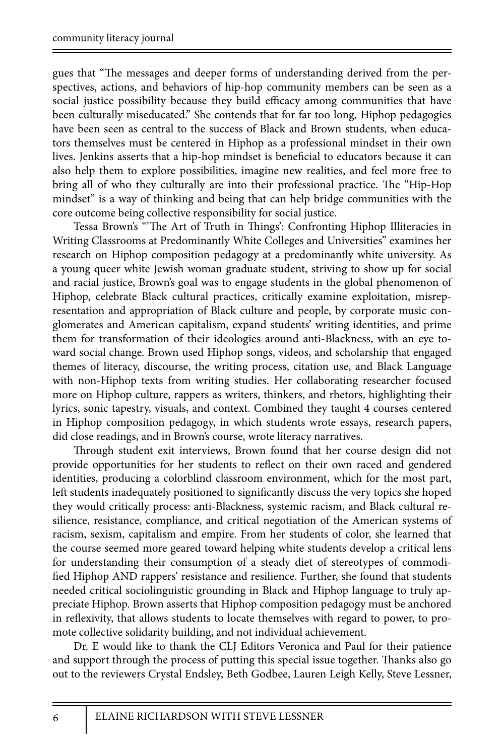gues that "The messages and deeper forms of understanding derived from the perspectives, actions, and behaviors of hip-hop community members can be seen as a social justice possibility because they build efficacy among communities that have been culturally miseducated." She contends that for far too long, Hiphop pedagogies have been seen as central to the success of Black and Brown students, when educators themselves must be centered in Hiphop as a professional mindset in their own lives. Jenkins asserts that a hip-hop mindset is beneficial to educators because it can also help them to explore possibilities, imagine new realities, and feel more free to bring all of who they culturally are into their professional practice. The "Hip-Hop mindset" is a way of thinking and being that can help bridge communities with the core outcome being collective responsibility for social justice.

Tessa Brown's "'The Art of Truth in Things': Confronting Hiphop Illiteracies in Writing Classrooms at Predominantly White Colleges and Universities" examines her research on Hiphop composition pedagogy at a predominantly white university. As a young queer white Jewish woman graduate student, striving to show up for social and racial justice, Brown's goal was to engage students in the global phenomenon of Hiphop, celebrate Black cultural practices, critically examine exploitation, misrepresentation and appropriation of Black culture and people, by corporate music conglomerates and American capitalism, expand students' writing identities, and prime them for transformation of their ideologies around anti-Blackness, with an eye toward social change. Brown used Hiphop songs, videos, and scholarship that engaged themes of literacy, discourse, the writing process, citation use, and Black Language with non-Hiphop texts from writing studies. Her collaborating researcher focused more on Hiphop culture, rappers as writers, thinkers, and rhetors, highlighting their lyrics, sonic tapestry, visuals, and context. Combined they taught 4 courses centered in Hiphop composition pedagogy, in which students wrote essays, research papers, did close readings, and in Brown's course, wrote literacy narratives.

Through student exit interviews, Brown found that her course design did not provide opportunities for her students to reflect on their own raced and gendered identities, producing a colorblind classroom environment, which for the most part, left students inadequately positioned to significantly discuss the very topics she hoped they would critically process: anti-Blackness, systemic racism, and Black cultural resilience, resistance, compliance, and critical negotiation of the American systems of racism, sexism, capitalism and empire. From her students of color, she learned that the course seemed more geared toward helping white students develop a critical lens for understanding their consumption of a steady diet of stereotypes of commodified Hiphop AND rappers' resistance and resilience. Further, she found that students needed critical sociolinguistic grounding in Black and Hiphop language to truly appreciate Hiphop. Brown asserts that Hiphop composition pedagogy must be anchored in reflexivity, that allows students to locate themselves with regard to power, to promote collective solidarity building, and not individual achievement.

Dr. E would like to thank the CLJ Editors Veronica and Paul for their patience and support through the process of putting this special issue together. Thanks also go out to the reviewers Crystal Endsley, Beth Godbee, Lauren Leigh Kelly, Steve Lessner,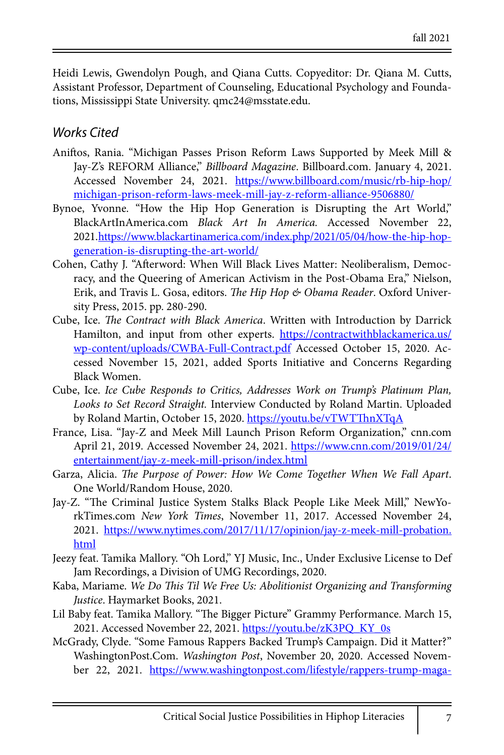Heidi Lewis, Gwendolyn Pough, and Qiana Cutts. Copyeditor: Dr. Qiana M. Cutts, Assistant Professor, Department of Counseling, Educational Psychology and Foundations, Mississippi State University. qmc24@msstate.edu.

### *Works Cited*

- Aniftos, Rania. "Michigan Passes Prison Reform Laws Supported by Meek Mill & Jay-Z's REFORM Alliance," *Billboard Magazine*. Billboard.com. January 4, 2021. Accessed November 24, 2021. [https://www.billboard.com/music/rb-hip-hop/](https://www.billboard.com/music/rb-hip-hop/michigan-prison-reform-laws-meek-mill-jay-z-reform-alliance-9506880/) [michigan-prison-reform-laws-meek-mill-jay-z-reform-alliance-9506880/](https://www.billboard.com/music/rb-hip-hop/michigan-prison-reform-laws-meek-mill-jay-z-reform-alliance-9506880/)
- Bynoe, Yvonne. "How the Hip Hop Generation is Disrupting the Art World," BlackArtInAmerica.com *Black Art In America.* Accessed November 22, 2021. [https://www.blackartinamerica.com/index.php/2021/05/04/how-the-hip-hop](https://www.blackartinamerica.com/index.php/2021/05/04/how-the-hip-hop-generation-is-disrupting-the-art-world/))[generation-is-disrupting-the-art-world/](https://www.blackartinamerica.com/index.php/2021/05/04/how-the-hip-hop-generation-is-disrupting-the-art-world/))
- Cohen, Cathy J. "Afterword: When Will Black Lives Matter: Neoliberalism, Democracy, and the Queering of American Activism in the Post-Obama Era," Nielson, Erik, and Travis L. Gosa, editors. *The Hip Hop & Obama Reader*. Oxford University Press, 2015. pp. 280-290.
- Cube, Ice. *The Contract with Black America*. Written with Introduction by Darrick Hamilton, and input from other experts. [https://contractwithblackamerica.us/](https://contractwithblackamerica.us/wp-content/uploads/CWBA-Full-Contract.pdf) [wp-content/uploads/CWBA-Full-Contract.pdf](https://contractwithblackamerica.us/wp-content/uploads/CWBA-Full-Contract.pdf) Accessed October 15, 2020. Accessed November 15, 2021, added Sports Initiative and Concerns Regarding Black Women.
- Cube, Ice. *Ice Cube Responds to Critics, Addresses Work on Trump's Platinum Plan, Looks to Set Record Straight.* Interview Conducted by Roland Martin. Uploaded by Roland Martin, October 15, 2020. <https://youtu.be/vTWTThnXTqA>
- France, Lisa. "Jay-Z and Meek Mill Launch Prison Reform Organization," cnn.com April 21, 2019. Accessed November 24, 2021. [https://www.cnn.com/2019/01/24/](https://www.cnn.com/2019/01/24/entertainment/jay-z-meek-mill-prison/index.html) [entertainment/jay-z-meek-mill-prison/index.html](https://www.cnn.com/2019/01/24/entertainment/jay-z-meek-mill-prison/index.html)
- Garza, Alicia. *The Purpose of Power: How We Come Together When We Fall Apart*. One World/Random House, 2020.
- Jay-Z. "The Criminal Justice System Stalks Black People Like Meek Mill," NewYorkTimes.com *New York Times*, November 11, 2017. Accessed November 24, 2021. [https://www.nytimes.com/2017/11/17/opinion/jay-z-meek-mill-probation.](https://www.nytimes.com/2017/11/17/opinion/jay-z-meek-mill-probation.html) [html](https://www.nytimes.com/2017/11/17/opinion/jay-z-meek-mill-probation.html)
- Jeezy feat. Tamika Mallory. "Oh Lord," YJ Music, Inc., Under Exclusive License to Def Jam Recordings, a Division of UMG Recordings, 2020.
- Kaba, Mariame. *We Do This Til We Free Us: Abolitionist Organizing and Transforming Justice*. Haymarket Books, 2021.
- Lil Baby feat. Tamika Mallory. "The Bigger Picture" Grammy Performance. March 15, 2021. Accessed November 22, 2021. [https://youtu.be/zK3PQ\\_KY\\_0s](https://youtu.be/zK3PQ_KY_0s)
- McGrady, Clyde. "Some Famous Rappers Backed Trump's Campaign. Did it Matter?" WashingtonPost.Com. *Washington Post*, November 20, 2020. Accessed November 22, 2021. [https://www.washingtonpost.com/lifestyle/rappers-trump-maga-](https://www.washingtonpost.com/lifestyle/rappers-trump-maga-ice-cube-lil-wayne-lil-pump/2020/11/19/f4aec62e-2316-11eb-8599-406466ad1b8e_story.html)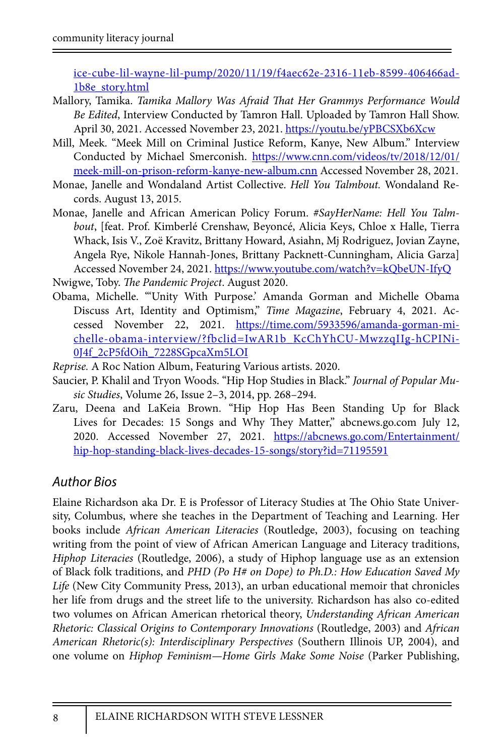[ice-cube-lil-wayne-lil-pump/2020/11/19/f4aec62e-2316-11eb-8599-406466ad-](https://www.washingtonpost.com/lifestyle/rappers-trump-maga-ice-cube-lil-wayne-lil-pump/2020/11/19/f4aec62e-2316-11eb-8599-406466ad1b8e_story.html)[1b8e\\_story.html](https://www.washingtonpost.com/lifestyle/rappers-trump-maga-ice-cube-lil-wayne-lil-pump/2020/11/19/f4aec62e-2316-11eb-8599-406466ad1b8e_story.html)

- Mallory, Tamika. *Tamika Mallory Was Afraid That Her Grammys Performance Would Be Edited*, Interview Conducted by Tamron Hall. Uploaded by Tamron Hall Show. April 30, 2021. Accessed November 23, 2021. <https://youtu.be/yPBCSXb6Xcw>
- Mill, Meek. "Meek Mill on Criminal Justice Reform, Kanye, New Album." Interview Conducted by Michael Smerconish. [https://www.cnn.com/videos/tv/2018/12/01/](https://www.cnn.com/videos/tv/2018/12/01/meek-mill-on-prison-reform-kanye-new-album.cnn) [meek-mill-on-prison-reform-kanye-new-album.cnn](https://www.cnn.com/videos/tv/2018/12/01/meek-mill-on-prison-reform-kanye-new-album.cnn) Accessed November 28, 2021.
- Monae, Janelle and Wondaland Artist Collective. *Hell You Talmbout.* Wondaland Records. August 13, 2015.
- Monae, Janelle and African American Policy Forum. *#SayHerName: Hell You Talmbout*, [feat. Prof. Kimberlé Crenshaw, Beyoncé, Alicia Keys, Chloe x Halle, Tierra Whack, Isis V., Zoë Kravitz, Brittany Howard, Asiahn, Mj Rodriguez, Jovian Zayne, Angela Rye, Nikole Hannah-Jones, Brittany Packnett-Cunningham, Alicia Garza] Accessed November 24, 2021. <https://www.youtube.com/watch?v=kQbeUN-IfyQ>

Nwigwe, Toby. *The Pandemic Project*. August 2020.

- Obama, Michelle. "'Unity With Purpose.' Amanda Gorman and Michelle Obama Discuss Art, Identity and Optimism," *Time Magazine*, February 4, 2021. Accessed November 22, 2021. [https://time.com/5933596/amanda-gorman-mi](https://time.com/5933596/amanda-gorman-michelle-obama-interview/?fbclid=IwAR1b_KcChYhCU-MwzzqIIg-hCPINi0J4f_2cP5fdOih_7228SGpcaXm5LOI)[chelle-obama-interview/?fbclid=IwAR1b\\_KcChYhCU-MwzzqIIg-hCPINi-](https://time.com/5933596/amanda-gorman-michelle-obama-interview/?fbclid=IwAR1b_KcChYhCU-MwzzqIIg-hCPINi0J4f_2cP5fdOih_7228SGpcaXm5LOI)[0J4f\\_2cP5fdOih\\_7228SGpcaXm5LOI](https://time.com/5933596/amanda-gorman-michelle-obama-interview/?fbclid=IwAR1b_KcChYhCU-MwzzqIIg-hCPINi0J4f_2cP5fdOih_7228SGpcaXm5LOI)
- *Reprise.* A Roc Nation Album, Featuring Various artists. 2020.
- Saucier, P. Khalil and Tryon Woods. "Hip Hop Studies in Black." *Journal of Popular Music Studies*, Volume 26, Issue 2–3, 2014, pp. 268–294.
- Zaru, Deena and LaKeia Brown. "Hip Hop Has Been Standing Up for Black Lives for Decades: 15 Songs and Why They Matter," abcnews.go.com July 12, 2020. Accessed November 27, 2021. [https://abcnews.go.com/Entertainment/](https://abcnews.go.com/Entertainment/hip-hop-standing-black-lives-decades-15-songs/story?id=71195591) [hip-hop-standing-black-lives-decades-15-songs/story?id=71195591](https://abcnews.go.com/Entertainment/hip-hop-standing-black-lives-decades-15-songs/story?id=71195591)

#### *Author Bios*

Elaine Richardson aka Dr. E is Professor of Literacy Studies at The Ohio State University, Columbus, where she teaches in the Department of Teaching and Learning. Her books include *African American Literacies* (Routledge, 2003), focusing on teaching writing from the point of view of African American Language and Literacy traditions, *Hiphop Literacies* (Routledge, 2006), a study of Hiphop language use as an extension of Black folk traditions, and *PHD (Po H# on Dope) to Ph.D.: How Education Saved My Life* (New City Community Press, 2013), an urban educational memoir that chronicles her life from drugs and the street life to the university. Richardson has also co-edited two volumes on African American rhetorical theory, *Understanding African American Rhetoric: Classical Origins to Contemporary Innovations* (Routledge, 2003) and *African American Rhetoric(s): Interdisciplinary Perspectives* (Southern Illinois UP, 2004), and one volume on *Hiphop Feminism—Home Girls Make Some Noise* (Parker Publishing,